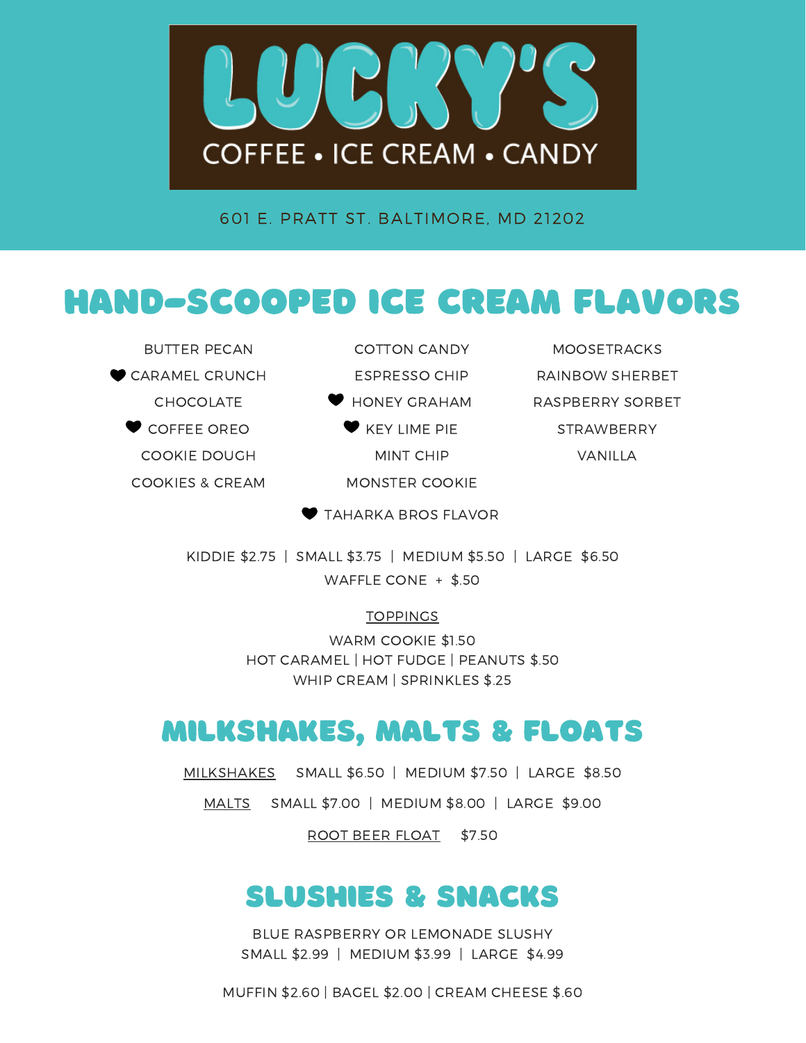

601 E. PRATT ST. BALTIMORE, MD 21202

# hand-scooped Ice Cream Flavors

BUTTER PECAN CARAMEL CRUNCH CHOCOLATE **♥** COFFFE OREO COOKIE DOUGH COOKIES & CREAM

COTTON CANDY ESPRESSO CHIP **W** HONEY GRAHAM KEY LIME PIF MINT CHIP MONSTER COOKIE

MOOSETRACKS RAINBOW SHERBET RASPBERRY SORBET **STRAWBERRY** VANILLA

KIDDIE \$2.75 | SMALL \$3.75 | MEDIUM \$5.50 | LARGE \$6.50 WAFFLE CONE + \$.50

**TAHARKA BROS FLAVOR** 

#### **TOPPINGS**

WARM COOKIE \$1.50 HOT CARAMEL | HOT FUDGE | PEANUTS \$.50 WHIP CREAM | SPRINKLES \$.25

## milkshakes, MALTS & FLOATS

MILKSHAKES SMALL \$6.50 | MEDIUM \$7.50 | LARGE \$8.50

MALTS SMALL \$7.00 | MEDIUM \$8.00 | LARGE \$9.00

ROOT BEER FLOAT \$7.50

### slushies & SNACKS

BLUE RASPBERRY OR LEMONADE SLUSHY SMALL \$2.99 | MEDIUM \$3.99 | LARGE \$4.99

MUFFIN \$2.60 | BAGEL \$2.00 | CREAM CHEESE \$.60